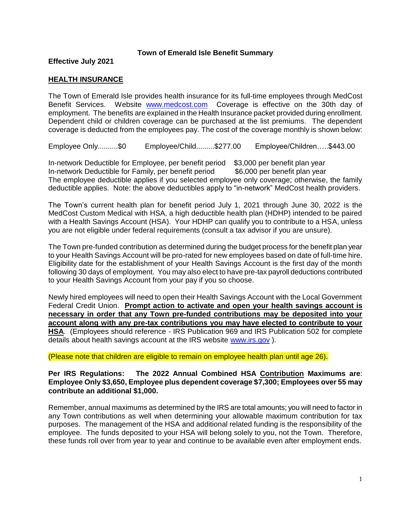**Effective July 2021**

# **HEALTH INSURANCE**

The Town of Emerald Isle provides health insurance for its full-time employees through MedCost Benefit Services. Website [www.medcost.com](http://www.medcost.com/) Coverage is effective on the 30th day of employment. The benefits are explained in the Health Insurance packet provided during enrollment. Dependent child or children coverage can be purchased at the list premiums. The dependent coverage is deducted from the employees pay. The cost of the coverage monthly is shown below:

Employee Only..........\$0 Employee/Child.........\$277.00 Employee/Children…..\$443.00

In-network Deductible for Employee, per benefit period \$3,000 per benefit plan year In-network Deductible for Family, per benefit period \$6,000 per benefit plan year The employee deductible applies if you selected employee only coverage; otherwise, the family deductible applies. Note: the above deductibles apply to "in-network" MedCost health providers.

The Town's current health plan for benefit period July 1, 2021 through June 30, 2022 is the MedCost Custom Medical with HSA, a high deductible health plan (HDHP) intended to be paired with a Health Savings Account (HSA). Your HDHP can qualify you to contribute to a HSA, unless you are not eligible under federal requirements (consult a tax advisor if you are unsure).

The Town pre-funded contribution as determined during the budget process for the benefit plan year to your Health Savings Account will be pro-rated for new employees based on date of full-time hire. Eligibility date for the establishment of your Health Savings Account is the first day of the month following 30 days of employment. You may also elect to have pre-tax payroll deductions contributed to your Health Savings Account from your pay if you so choose.

Newly hired employees will need to open their Health Savings Account with the Local Government Federal Credit Union. **Prompt action to activate and open your health savings account is necessary in order that any Town pre-funded contributions may be deposited into your account along with any pre-tax contributions you may have elected to contribute to your HSA**. (Employees should reference - IRS Publication 969 and IRS Publication 502 for complete details about health savings account at the IRS website [www.irs.gov](http://www.irs.gov/) ).

(Please note that children are eligible to remain on employee health plan until age 26).

### **Per IRS Regulations: The 2022 Annual Combined HSA Contribution Maximums are**: **Employee Only \$3,650, Employee plus dependent coverage \$7,300; Employees over 55 may contribute an additional \$1,000.**

Remember, annual maximums as determined by the IRS are total amounts; you will need to factor in any Town contributions as well when determining your allowable maximum contribution for tax purposes. The management of the HSA and additional related funding is the responsibility of the employee. The funds deposited to your HSA will belong solely to you, not the Town. Therefore, these funds roll over from year to year and continue to be available even after employment ends.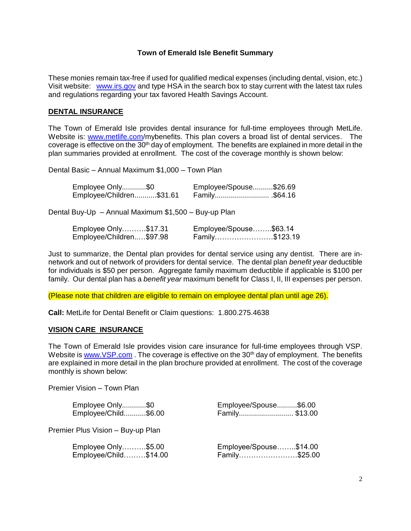These monies remain tax-free if used for qualified medical expenses (including dental, vision, etc.) Visit website: [www.irs.gov](http://www.irs.gov/) and type HSA in the search box to stay current with the latest tax rules and regulations regarding your tax favored Health Savings Account.

### **DENTAL INSURANCE**

The Town of Emerald Isle provides dental insurance for full-time employees through MetLife. Website is: [www.metlife.com/](http://www.metlife.com/)mybenefits. This plan covers a broad list of dental services. The coverage is effective on the 30<sup>th</sup> day of employment. The benefits are explained in more detail in the plan summaries provided at enrollment. The cost of the coverage monthly is shown below:

Dental Basic – Annual Maximum \$1,000 – Town Plan

| Employee Only\$0         | Employee/Spouse\$26.69 |
|--------------------------|------------------------|
| Employee/Children\$31.61 | .564.16. \$64.16       |

Dental Buy-Up – Annual Maximum \$1,500 – Buy-up Plan

| Employee Only\$17.31     |  | Employee/Spouse\$63.14 |
|--------------------------|--|------------------------|
| Employee/Children\$97.98 |  | Family\$123.19         |

Just to summarize, the Dental plan provides for dental service using any dentist. There are innetwork and out of network of providers for dental service. The dental plan *benefit year* deductible for individuals is \$50 per person. Aggregate family maximum deductible if applicable is \$100 per family. Our dental plan has a *benefit year* maximum benefit for Class I, II, III expenses per person.

(Please note that children are eligible to remain on employee dental plan until age 26).

**Call:** MetLife for Dental Benefit or Claim questions: 1.800.275.4638

#### **VISION CARE INSURANCE**

The Town of Emerald Isle provides vision care insurance for full-time employees through VSP. Website is [www.VSP.com](http://www.vsp.com/). The coverage is effective on the  $30<sup>th</sup>$  day of employment. The benefits are explained in more detail in the plan brochure provided at enrollment. The cost of the coverage monthly is shown below:

Premier Vision – Town Plan

| Employee Only\$0                  | Employee/Spouse\$6.00  |
|-----------------------------------|------------------------|
| Employee/Child\$6.00              | Family \$13.00         |
| Premier Plus Vision - Buy-up Plan |                        |
| Employee Only\$5.00               | Employee/Spouse\$14.00 |
| Employee/Child\$14.00             | Family\$25.00          |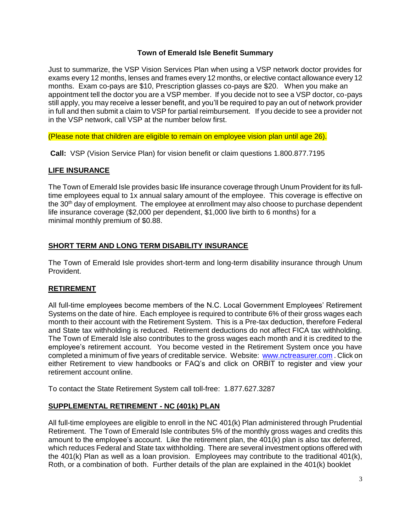Just to summarize, the VSP Vision Services Plan when using a VSP network doctor provides for exams every 12 months, lenses and frames every 12 months, or elective contact allowance every 12 months. Exam co-pays are \$10, Prescription glasses co-pays are \$20. When you make an appointment tell the doctor you are a VSP member. If you decide not to see a VSP doctor, co-pays still apply, you may receive a lesser benefit, and you'll be required to pay an out of network provider in full and then submit a claim to VSP for partial reimbursement. If you decide to see a provider not in the VSP network, call VSP at the number below first.

(Please note that children are eligible to remain on employee vision plan until age 26).

**Call:** VSP (Vision Service Plan) for vision benefit or claim questions 1.800.877.7195

# **LIFE INSURANCE**

The Town of Emerald Isle provides basic life insurance coverage through Unum Provident for its fulltime employees equal to 1x annual salary amount of the employee. This coverage is effective on the  $30<sup>th</sup>$  day of employment. The employee at enrollment may also choose to purchase dependent life insurance coverage (\$2,000 per dependent, \$1,000 live birth to 6 months) for a minimal monthly premium of \$0.88.

# **SHORT TERM AND LONG TERM DISABILITY INSURANCE**

The Town of Emerald Isle provides short-term and long-term disability insurance through Unum Provident.

# **RETIREMENT**

All full-time employees become members of the N.C. Local Government Employees' Retirement Systems on the date of hire. Each employee is required to contribute 6% of their gross wages each month to their account with the Retirement System. This is a Pre-tax deduction, therefore Federal and State tax withholding is reduced. Retirement deductions do not affect FICA tax withholding. The Town of Emerald Isle also contributes to the gross wages each month and it is credited to the employee's retirement account. You become vested in the Retirement System once you have completed a minimum of five years of creditable service. Website: [www.nctreasurer.com](http://www.nctreasurer.com/) . Click on either Retirement to view handbooks or FAQ's and click on ORBIT to register and view your retirement account online.

To contact the State Retirement System call toll-free: 1.877.627.3287

# **SUPPLEMENTAL RETIREMENT - NC (401k) PLAN**

All full-time employees are eligible to enroll in the NC 401(k) Plan administered through Prudential Retirement. The Town of Emerald Isle contributes 5% of the monthly gross wages and credits this amount to the employee's account. Like the retirement plan, the 401(k) plan is also tax deferred, which reduces Federal and State tax withholding. There are several investment options offered with the 401(k) Plan as well as a loan provision. Employees may contribute to the traditional 401(k), Roth, or a combination of both. Further details of the plan are explained in the 401(k) booklet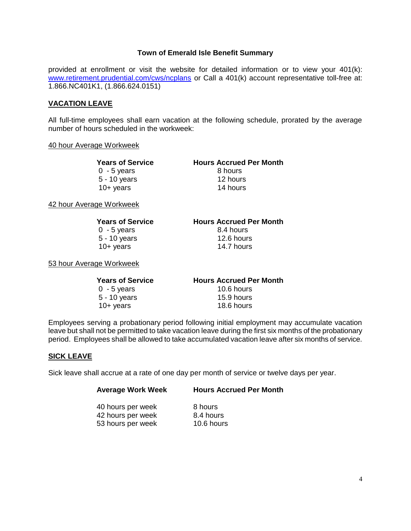provided at enrollment or visit the website for detailed information or to view your 401(k): [www.retirement.prudential.com/cws/ncplans](http://www.retirement.prudential.com/cws/ncplans) or Call a 401(k) account representative toll-free at: 1.866.NC401K1, (1.866.624.0151)

### **VACATION LEAVE**

All full-time employees shall earn vacation at the following schedule, prorated by the average number of hours scheduled in the workweek:

#### 40 hour Average Workweek

0 - 5 years 8 hours 5 - 10 years 12 hours 10+ years 14 hours

**Years of Service Hours Accrued Per Month**

42 hour Average Workweek

| <b>Years of Service</b> |
|-------------------------|
| $0 - 5$ years           |
| 5 - 10 years            |
| $10+$ years             |

**Hours Accrued Per Month** 8.4 hours  $12.6$  hours 14.7 hours

53 hour Average Workweek

| <b>Hours Accrued Per Month</b> |
|--------------------------------|
| 10.6 hours                     |
| 15.9 hours                     |
| 18.6 hours                     |
|                                |

Employees serving a probationary period following initial employment may accumulate vacation leave but shall not be permitted to take vacation leave during the first six months of the probationary period. Employees shall be allowed to take accumulated vacation leave after six months of service.

#### **SICK LEAVE**

Sick leave shall accrue at a rate of one day per month of service or twelve days per year.

| <b>Average Work Week</b> | <b>Hours Accrued Per Month</b> |
|--------------------------|--------------------------------|
| 40 hours per week        | 8 hours                        |
|                          | 8.4 hours                      |
| 53 hours per week        | 10.6 hours                     |
| 42 hours per week        |                                |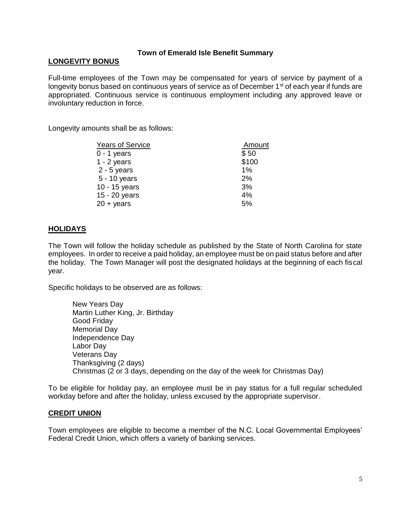## **LONGEVITY BONUS**

Full-time employees of the Town may be compensated for years of service by payment of a longevity bonus based on continuous years of service as of December 1<sup>st</sup> of each year if funds are appropriated. Continuous service is continuous employment including any approved leave or involuntary reduction in force.

Longevity amounts shall be as follows:

| <b>Years of Service</b> | Amount |
|-------------------------|--------|
| $0 - 1$ years           | \$50   |
| $1 - 2$ years           | \$100  |
| $2 - 5$ years           | 1%     |
| 5 - 10 years            | 2%     |
| 10 - 15 years           | 3%     |
| 15 - 20 years           | 4%     |
| $20 + \gamma$ ears      | 5%     |
|                         |        |

## **HOLIDAYS**

The Town will follow the holiday schedule as published by the State of North Carolina for state employees. In order to receive a paid holiday, an employee must be on paid status before and after the holiday. The Town Manager will post the designated holidays at the beginning of each fiscal year.

Specific holidays to be observed are as follows:

New Years Day Martin Luther King, Jr. Birthday Good Friday Memorial Day Independence Day Labor Day Veterans Day Thanksgiving (2 days) Christmas (2 or 3 days, depending on the day of the week for Christmas Day)

To be eligible for holiday pay, an employee must be in pay status for a full regular scheduled workday before and after the holiday, unless excused by the appropriate supervisor.

#### **CREDIT UNION**

Town employees are eligible to become a member of the N.C. Local Governmental Employees' Federal Credit Union, which offers a variety of banking services.